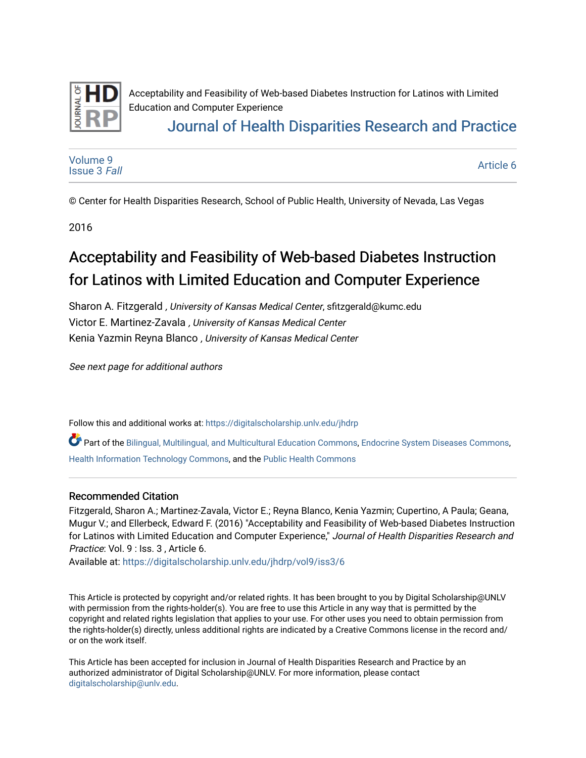

# [Journal of Health Disparities Research and Practice](https://digitalscholarship.unlv.edu/jhdrp)

[Volume 9](https://digitalscholarship.unlv.edu/jhdrp/vol9) [Issue 3](https://digitalscholarship.unlv.edu/jhdrp/vol9/iss3) Fall

[Article 6](https://digitalscholarship.unlv.edu/jhdrp/vol9/iss3/6) 

© Center for Health Disparities Research, School of Public Health, University of Nevada, Las Vegas

2016

# Acceptability and Feasibility of Web-based Diabetes Instruction for Latinos with Limited Education and Computer Experience

Sharon A. Fitzgerald , University of Kansas Medical Center, sfitzgerald@kumc.edu Victor E. Martinez-Zavala , University of Kansas Medical Center Kenia Yazmin Reyna Blanco , University of Kansas Medical Center

See next page for additional authors

Follow this and additional works at: [https://digitalscholarship.unlv.edu/jhdrp](https://digitalscholarship.unlv.edu/jhdrp?utm_source=digitalscholarship.unlv.edu%2Fjhdrp%2Fvol9%2Fiss3%2F6&utm_medium=PDF&utm_campaign=PDFCoverPages) 

Part of the [Bilingual, Multilingual, and Multicultural Education Commons,](http://network.bepress.com/hgg/discipline/785?utm_source=digitalscholarship.unlv.edu%2Fjhdrp%2Fvol9%2Fiss3%2F6&utm_medium=PDF&utm_campaign=PDFCoverPages) [Endocrine System Diseases Commons](http://network.bepress.com/hgg/discipline/969?utm_source=digitalscholarship.unlv.edu%2Fjhdrp%2Fvol9%2Fiss3%2F6&utm_medium=PDF&utm_campaign=PDFCoverPages), [Health Information Technology Commons](http://network.bepress.com/hgg/discipline/1239?utm_source=digitalscholarship.unlv.edu%2Fjhdrp%2Fvol9%2Fiss3%2F6&utm_medium=PDF&utm_campaign=PDFCoverPages), and the [Public Health Commons](http://network.bepress.com/hgg/discipline/738?utm_source=digitalscholarship.unlv.edu%2Fjhdrp%2Fvol9%2Fiss3%2F6&utm_medium=PDF&utm_campaign=PDFCoverPages) 

## Recommended Citation

Fitzgerald, Sharon A.; Martinez-Zavala, Victor E.; Reyna Blanco, Kenia Yazmin; Cupertino, A Paula; Geana, Mugur V.; and Ellerbeck, Edward F. (2016) "Acceptability and Feasibility of Web-based Diabetes Instruction for Latinos with Limited Education and Computer Experience," Journal of Health Disparities Research and Practice: Vol. 9 : Iss. 3, Article 6.

Available at: [https://digitalscholarship.unlv.edu/jhdrp/vol9/iss3/6](https://digitalscholarship.unlv.edu/jhdrp/vol9/iss3/6?utm_source=digitalscholarship.unlv.edu%2Fjhdrp%2Fvol9%2Fiss3%2F6&utm_medium=PDF&utm_campaign=PDFCoverPages)

This Article is protected by copyright and/or related rights. It has been brought to you by Digital Scholarship@UNLV with permission from the rights-holder(s). You are free to use this Article in any way that is permitted by the copyright and related rights legislation that applies to your use. For other uses you need to obtain permission from the rights-holder(s) directly, unless additional rights are indicated by a Creative Commons license in the record and/ or on the work itself.

This Article has been accepted for inclusion in Journal of Health Disparities Research and Practice by an authorized administrator of Digital Scholarship@UNLV. For more information, please contact [digitalscholarship@unlv.edu](mailto:digitalscholarship@unlv.edu).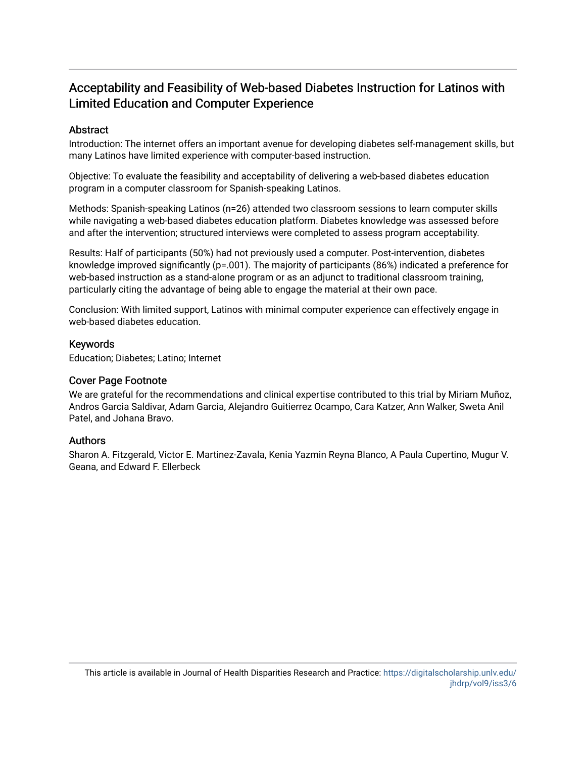## Abstract

Introduction: The internet offers an important avenue for developing diabetes self-management skills, but many Latinos have limited experience with computer-based instruction.

Objective: To evaluate the feasibility and acceptability of delivering a web-based diabetes education program in a computer classroom for Spanish-speaking Latinos.

Methods: Spanish-speaking Latinos (n=26) attended two classroom sessions to learn computer skills while navigating a web-based diabetes education platform. Diabetes knowledge was assessed before and after the intervention; structured interviews were completed to assess program acceptability.

Results: Half of participants (50%) had not previously used a computer. Post-intervention, diabetes knowledge improved significantly (p=.001). The majority of participants (86%) indicated a preference for web-based instruction as a stand-alone program or as an adjunct to traditional classroom training, particularly citing the advantage of being able to engage the material at their own pace.

Conclusion: With limited support, Latinos with minimal computer experience can effectively engage in web-based diabetes education.

#### Keywords

Education; Diabetes; Latino; Internet

#### Cover Page Footnote

We are grateful for the recommendations and clinical expertise contributed to this trial by Miriam Muñoz, Andros Garcia Saldivar, Adam Garcia, Alejandro Guitierrez Ocampo, Cara Katzer, Ann Walker, Sweta Anil Patel, and Johana Bravo.

## Authors

Sharon A. Fitzgerald, Victor E. Martinez-Zavala, Kenia Yazmin Reyna Blanco, A Paula Cupertino, Mugur V. Geana, and Edward F. Ellerbeck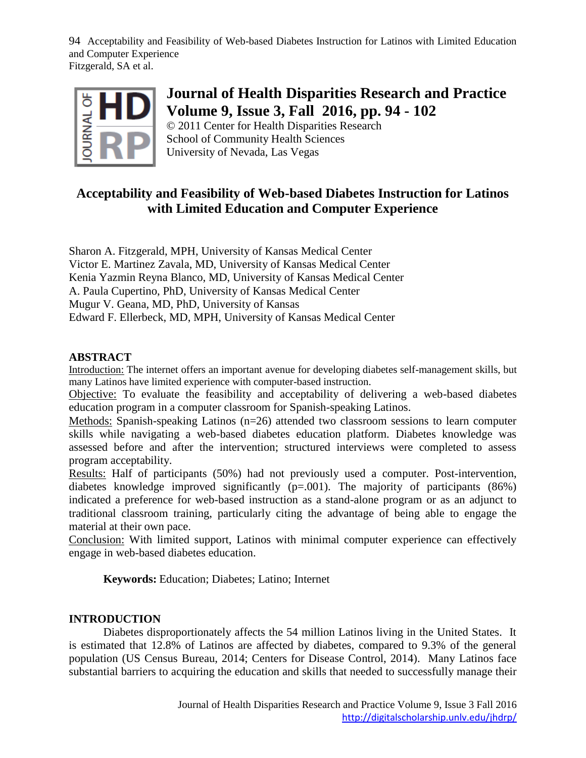

# **Journal of Health Disparities Research and Practice Volume 9, Issue 3, Fall 2016, pp. 94 - 102**

© 2011 Center for Health Disparities Research School of Community Health Sciences University of Nevada, Las Vegas

# **Acceptability and Feasibility of Web-based Diabetes Instruction for Latinos with Limited Education and Computer Experience**

Sharon A. Fitzgerald, MPH, University of Kansas Medical Center Victor E. Martinez Zavala, MD, University of Kansas Medical Center Kenia Yazmin Reyna Blanco, MD, University of Kansas Medical Center A. Paula Cupertino, PhD, University of Kansas Medical Center Mugur V. Geana, MD, PhD, University of Kansas Edward F. Ellerbeck, MD, MPH, University of Kansas Medical Center

# **ABSTRACT**

Introduction: The internet offers an important avenue for developing diabetes self-management skills, but many Latinos have limited experience with computer-based instruction.

Objective: To evaluate the feasibility and acceptability of delivering a web-based diabetes education program in a computer classroom for Spanish-speaking Latinos.

Methods: Spanish-speaking Latinos (n=26) attended two classroom sessions to learn computer skills while navigating a web-based diabetes education platform. Diabetes knowledge was assessed before and after the intervention; structured interviews were completed to assess program acceptability.

Results: Half of participants (50%) had not previously used a computer. Post-intervention, diabetes knowledge improved significantly  $(p=.001)$ . The majority of participants (86%) indicated a preference for web-based instruction as a stand-alone program or as an adjunct to traditional classroom training, particularly citing the advantage of being able to engage the material at their own pace.

Conclusion: With limited support, Latinos with minimal computer experience can effectively engage in web-based diabetes education.

**Keywords:** Education; Diabetes; Latino; Internet

# **INTRODUCTION**

Diabetes disproportionately affects the 54 million Latinos living in the United States. It is estimated that 12.8% of Latinos are affected by diabetes, compared to 9.3% of the general population (US Census Bureau, 2014; Centers for Disease Control, 2014). Many Latinos face substantial barriers to acquiring the education and skills that needed to successfully manage their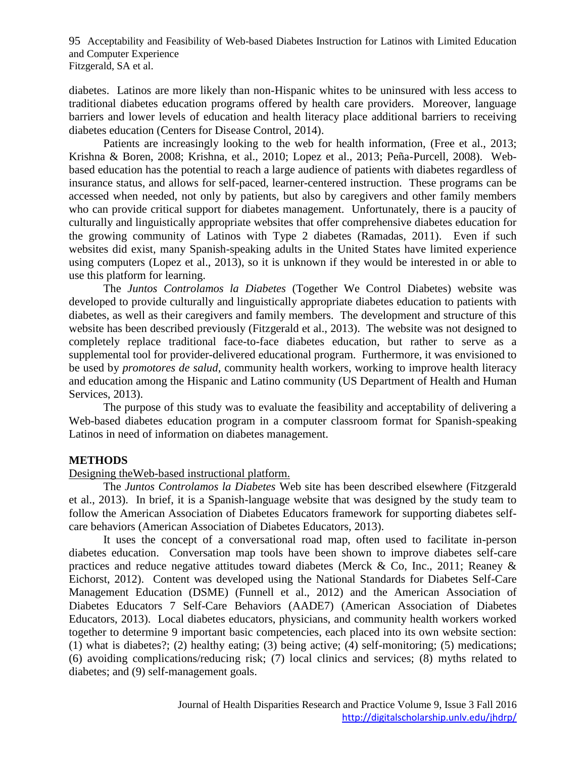diabetes. Latinos are more likely than non-Hispanic whites to be uninsured with less access to traditional diabetes education programs offered by health care providers. Moreover, language barriers and lower levels of education and health literacy place additional barriers to receiving diabetes education (Centers for Disease Control, 2014).

Patients are increasingly looking to the web for health information, (Free et al., 2013; Krishna & Boren, 2008; Krishna, et al., 2010; Lopez et al., 2013; Peña-Purcell, 2008). Webbased education has the potential to reach a large audience of patients with diabetes regardless of insurance status, and allows for self-paced, learner-centered instruction. These programs can be accessed when needed, not only by patients, but also by caregivers and other family members who can provide critical support for diabetes management. Unfortunately, there is a paucity of culturally and linguistically appropriate websites that offer comprehensive diabetes education for the growing community of Latinos with Type 2 diabetes (Ramadas, 2011). Even if such websites did exist, many Spanish-speaking adults in the United States have limited experience using computers (Lopez et al., 2013), so it is unknown if they would be interested in or able to use this platform for learning.

The *Juntos Controlamos la Diabetes* (Together We Control Diabetes) website was developed to provide culturally and linguistically appropriate diabetes education to patients with diabetes, as well as their caregivers and family members. The development and structure of this website has been described previously (Fitzgerald et al., 2013). The website was not designed to completely replace traditional face-to-face diabetes education, but rather to serve as a supplemental tool for provider-delivered educational program. Furthermore, it was envisioned to be used by *promotores de salud*, community health workers, working to improve health literacy and education among the Hispanic and Latino community (US Department of Health and Human Services, 2013).

The purpose of this study was to evaluate the feasibility and acceptability of delivering a Web-based diabetes education program in a computer classroom format for Spanish-speaking Latinos in need of information on diabetes management.

## **METHODS**

## Designing theWeb-based instructional platform.

The *Juntos Controlamos la Diabetes* Web site has been described elsewhere (Fitzgerald et al., 2013). In brief, it is a Spanish-language website that was designed by the study team to follow the American Association of Diabetes Educators framework for supporting diabetes selfcare behaviors (American Association of Diabetes Educators, 2013).

It uses the concept of a conversational road map, often used to facilitate in-person diabetes education. Conversation map tools have been shown to improve diabetes self-care practices and reduce negative attitudes toward diabetes (Merck & Co, Inc., 2011; Reaney & Eichorst, 2012). Content was developed using the National Standards for Diabetes Self-Care Management Education (DSME) (Funnell et al., 2012) and the American Association of Diabetes Educators 7 Self-Care Behaviors (AADE7) (American Association of Diabetes Educators, 2013). Local diabetes educators, physicians, and community health workers worked together to determine 9 important basic competencies, each placed into its own website section: (1) what is diabetes?; (2) healthy eating; (3) being active; (4) self-monitoring; (5) medications; (6) avoiding complications/reducing risk; (7) local clinics and services; (8) myths related to diabetes; and (9) self-management goals.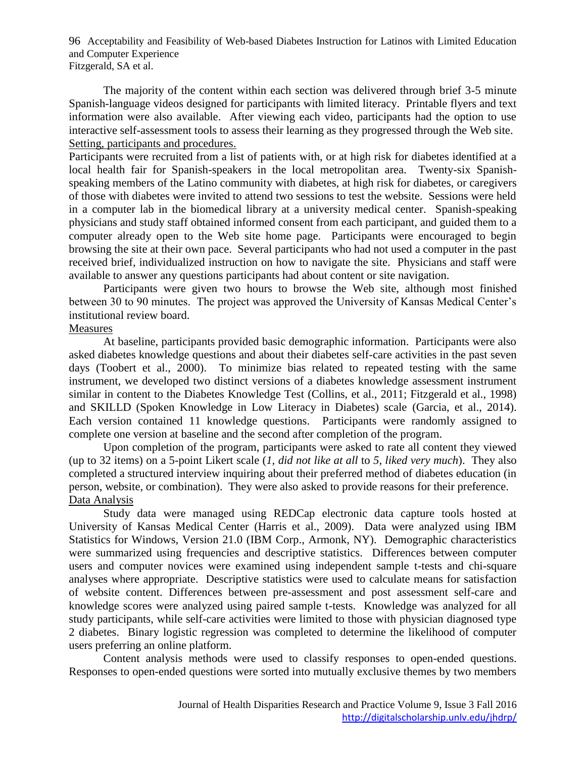The majority of the content within each section was delivered through brief 3-5 minute Spanish-language videos designed for participants with limited literacy. Printable flyers and text information were also available. After viewing each video, participants had the option to use interactive self-assessment tools to assess their learning as they progressed through the Web site. Setting, participants and procedures.

Participants were recruited from a list of patients with, or at high risk for diabetes identified at a local health fair for Spanish-speakers in the local metropolitan area. Twenty-six Spanishspeaking members of the Latino community with diabetes, at high risk for diabetes, or caregivers of those with diabetes were invited to attend two sessions to test the website. Sessions were held in a computer lab in the biomedical library at a university medical center. Spanish-speaking physicians and study staff obtained informed consent from each participant, and guided them to a computer already open to the Web site home page. Participants were encouraged to begin browsing the site at their own pace. Several participants who had not used a computer in the past received brief, individualized instruction on how to navigate the site. Physicians and staff were available to answer any questions participants had about content or site navigation.

Participants were given two hours to browse the Web site, although most finished between 30 to 90 minutes. The project was approved the University of Kansas Medical Center's institutional review board.

# Measures

At baseline, participants provided basic demographic information. Participants were also asked diabetes knowledge questions and about their diabetes self-care activities in the past seven days (Toobert et al., 2000). To minimize bias related to repeated testing with the same instrument, we developed two distinct versions of a diabetes knowledge assessment instrument similar in content to the Diabetes Knowledge Test (Collins, et al., 2011; Fitzgerald et al., 1998) and SKILLD (Spoken Knowledge in Low Literacy in Diabetes) scale (Garcia, et al., 2014). Each version contained 11 knowledge questions. Participants were randomly assigned to complete one version at baseline and the second after completion of the program.

Upon completion of the program, participants were asked to rate all content they viewed (up to 32 items) on a 5-point Likert scale (*1, did not like at all* to *5, liked very much*). They also completed a structured interview inquiring about their preferred method of diabetes education (in person, website, or combination). They were also asked to provide reasons for their preference. Data Analysis

Study data were managed using REDCap electronic data capture tools hosted at University of Kansas Medical Center (Harris et al., 2009). Data were analyzed using IBM Statistics for Windows, Version 21.0 (IBM Corp., Armonk, NY). Demographic characteristics were summarized using frequencies and descriptive statistics. Differences between computer users and computer novices were examined using independent sample t-tests and chi-square analyses where appropriate. Descriptive statistics were used to calculate means for satisfaction of website content. Differences between pre-assessment and post assessment self-care and knowledge scores were analyzed using paired sample t-tests. Knowledge was analyzed for all study participants, while self-care activities were limited to those with physician diagnosed type 2 diabetes. Binary logistic regression was completed to determine the likelihood of computer users preferring an online platform.

Content analysis methods were used to classify responses to open-ended questions. Responses to open-ended questions were sorted into mutually exclusive themes by two members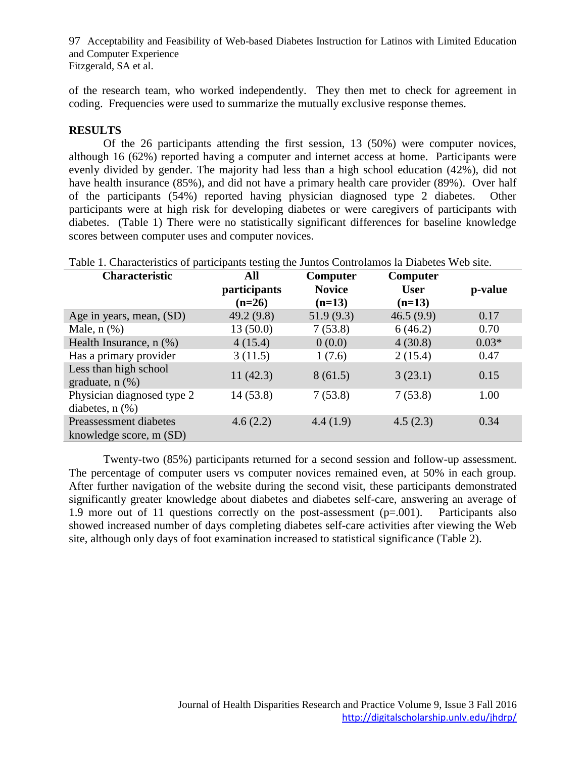of the research team, who worked independently. They then met to check for agreement in coding. Frequencies were used to summarize the mutually exclusive response themes.

# **RESULTS**

Of the 26 participants attending the first session, 13 (50%) were computer novices, although 16 (62%) reported having a computer and internet access at home. Participants were evenly divided by gender. The majority had less than a high school education (42%), did not have health insurance (85%), and did not have a primary health care provider (89%). Over half of the participants (54%) reported having physician diagnosed type 2 diabetes. Other participants were at high risk for developing diabetes or were caregivers of participants with diabetes. (Table 1) There were no statistically significant differences for baseline knowledge scores between computer uses and computer novices.

| Table 1. Characteristics of participants testing the Juntos Controlamos la Diabetes Web site. |              |               |             |         |
|-----------------------------------------------------------------------------------------------|--------------|---------------|-------------|---------|
| <b>Characteristic</b>                                                                         | All          | Computer      | Computer    |         |
|                                                                                               | participants | <b>Novice</b> | <b>User</b> | p-value |
|                                                                                               | $(n=26)$     | $(n=13)$      | $(n=13)$    |         |
| Age in years, mean, (SD)                                                                      | 49.2(9.8)    | 51.9(9.3)     | 46.5(9.9)   | 0.17    |
| Male, $n$ $(\%)$                                                                              | 13(50.0)     | 7(53.8)       | 6(46.2)     | 0.70    |
| Health Insurance, n (%)                                                                       | 4(15.4)      | 0(0.0)        | 4(30.8)     | $0.03*$ |
| Has a primary provider                                                                        | 3(11.5)      | 1(7.6)        | 2(15.4)     | 0.47    |
| Less than high school<br>graduate, $n$ $(\%)$                                                 | 11(42.3)     | 8(61.5)       | 3(23.1)     | 0.15    |
| Physician diagnosed type 2<br>diabetes, $n$ $(\%)$                                            | 14(53.8)     | 7(53.8)       | 7(53.8)     | 1.00    |
| Preassessment diabetes<br>knowledge score, m (SD)                                             | 4.6(2.2)     | 4.4(1.9)      | 4.5(2.3)    | 0.34    |

Twenty-two (85%) participants returned for a second session and follow-up assessment. The percentage of computer users vs computer novices remained even, at 50% in each group. After further navigation of the website during the second visit, these participants demonstrated significantly greater knowledge about diabetes and diabetes self-care, answering an average of 1.9 more out of 11 questions correctly on the post-assessment (p=.001). Participants also showed increased number of days completing diabetes self-care activities after viewing the Web site, although only days of foot examination increased to statistical significance (Table 2).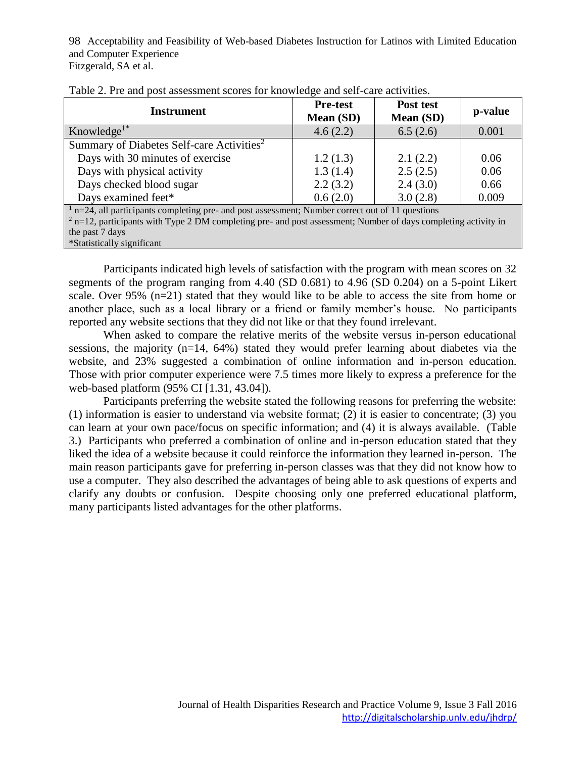| <b>Instrument</b>                                                                                                | <b>Pre-test</b><br>Mean (SD) | Post test<br>Mean (SD) | p-value |  |
|------------------------------------------------------------------------------------------------------------------|------------------------------|------------------------|---------|--|
| Knowledge <sup>1*</sup>                                                                                          | 4.6(2.2)                     | 6.5(2.6)               | 0.001   |  |
| Summary of Diabetes Self-care Activities <sup>2</sup>                                                            |                              |                        |         |  |
| Days with 30 minutes of exercise                                                                                 | 1.2(1.3)                     | 2.1(2.2)               | 0.06    |  |
| Days with physical activity                                                                                      | 1.3(1.4)                     | 2.5(2.5)               | 0.06    |  |
| Days checked blood sugar                                                                                         | 2.2(3.2)                     | 2.4(3.0)               | 0.66    |  |
| Days examined feet*                                                                                              | 0.6(2.0)                     | 3.0(2.8)               | 0.009   |  |
| $1$ n=24, all participants completing pre- and post assessment; Number correct out of 11 questions               |                              |                        |         |  |
| $2$ n=12, participants with Type 2 DM completing pre- and post assessment; Number of days completing activity in |                              |                        |         |  |
| the past 7 days                                                                                                  |                              |                        |         |  |
| *Statistically significant                                                                                       |                              |                        |         |  |

| Table 2. Pre and post assessment scores for knowledge and self-care activities. |  |
|---------------------------------------------------------------------------------|--|
|                                                                                 |  |

Participants indicated high levels of satisfaction with the program with mean scores on 32 segments of the program ranging from 4.40 (SD 0.681) to 4.96 (SD 0.204) on a 5-point Likert scale. Over 95% (n=21) stated that they would like to be able to access the site from home or another place, such as a local library or a friend or family member's house. No participants reported any website sections that they did not like or that they found irrelevant.

When asked to compare the relative merits of the website versus in-person educational sessions, the majority (n=14, 64%) stated they would prefer learning about diabetes via the website, and 23% suggested a combination of online information and in-person education. Those with prior computer experience were 7.5 times more likely to express a preference for the web-based platform (95% CI [1.31, 43.04]).

Participants preferring the website stated the following reasons for preferring the website: (1) information is easier to understand via website format; (2) it is easier to concentrate; (3) you can learn at your own pace/focus on specific information; and (4) it is always available. (Table 3.) Participants who preferred a combination of online and in-person education stated that they liked the idea of a website because it could reinforce the information they learned in-person. The main reason participants gave for preferring in-person classes was that they did not know how to use a computer. They also described the advantages of being able to ask questions of experts and clarify any doubts or confusion. Despite choosing only one preferred educational platform, many participants listed advantages for the other platforms.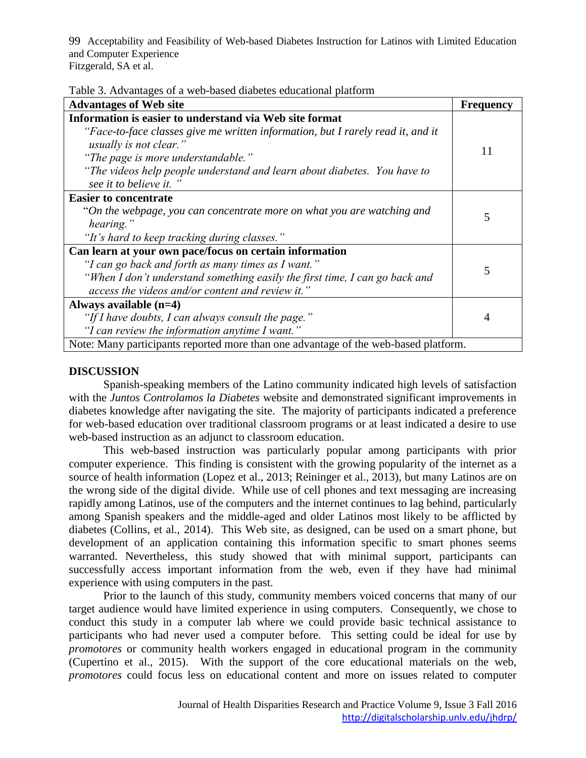| Table 3. Advantages of a web-based diabetes educational platform |  |  |  |
|------------------------------------------------------------------|--|--|--|
|                                                                  |  |  |  |

| radio 9. Travaniagos or a wob based diabetes educational platform<br><b>Advantages of Web site</b>                                                                                                                                                                                                               | <b>Frequency</b> |  |
|------------------------------------------------------------------------------------------------------------------------------------------------------------------------------------------------------------------------------------------------------------------------------------------------------------------|------------------|--|
| Information is easier to understand via Web site format<br>"Face-to-face classes give me written information, but I rarely read it, and it<br>usually is not clear."<br>"The page is more understandable."<br>"The videos help people understand and learn about diabetes. You have to<br>see it to believe it.' | 11               |  |
| <b>Easier to concentrate</b><br>"On the webpage, you can concentrate more on what you are watching and<br>hearing."<br>"It's hard to keep tracking during classes."                                                                                                                                              | 5                |  |
| Can learn at your own pace/focus on certain information<br>"I can go back and forth as many times as I want."<br>"When I don't understand something easily the first time, I can go back and<br>access the videos and/or content and review it."                                                                 | 5                |  |
| Always available $(n=4)$<br>"If I have doubts, I can always consult the page."<br>"I can review the information anytime I want."                                                                                                                                                                                 | 4                |  |
| Note: Many participants reported more than one advantage of the web-based platform.                                                                                                                                                                                                                              |                  |  |

# **DISCUSSION**

Spanish-speaking members of the Latino community indicated high levels of satisfaction with the *Juntos Controlamos la Diabetes* website and demonstrated significant improvements in diabetes knowledge after navigating the site. The majority of participants indicated a preference for web-based education over traditional classroom programs or at least indicated a desire to use web-based instruction as an adjunct to classroom education.

This web-based instruction was particularly popular among participants with prior computer experience. This finding is consistent with the growing popularity of the internet as a source of health information (Lopez et al., 2013; Reininger et al., 2013), but many Latinos are on the wrong side of the digital divide. While use of cell phones and text messaging are increasing rapidly among Latinos, use of the computers and the internet continues to lag behind, particularly among Spanish speakers and the middle-aged and older Latinos most likely to be afflicted by diabetes (Collins, et al., 2014). This Web site, as designed, can be used on a smart phone, but development of an application containing this information specific to smart phones seems warranted. Nevertheless, this study showed that with minimal support, participants can successfully access important information from the web, even if they have had minimal experience with using computers in the past.

Prior to the launch of this study, community members voiced concerns that many of our target audience would have limited experience in using computers. Consequently, we chose to conduct this study in a computer lab where we could provide basic technical assistance to participants who had never used a computer before. This setting could be ideal for use by *promotores* or community health workers engaged in educational program in the community (Cupertino et al., 2015). With the support of the core educational materials on the web, *promotores* could focus less on educational content and more on issues related to computer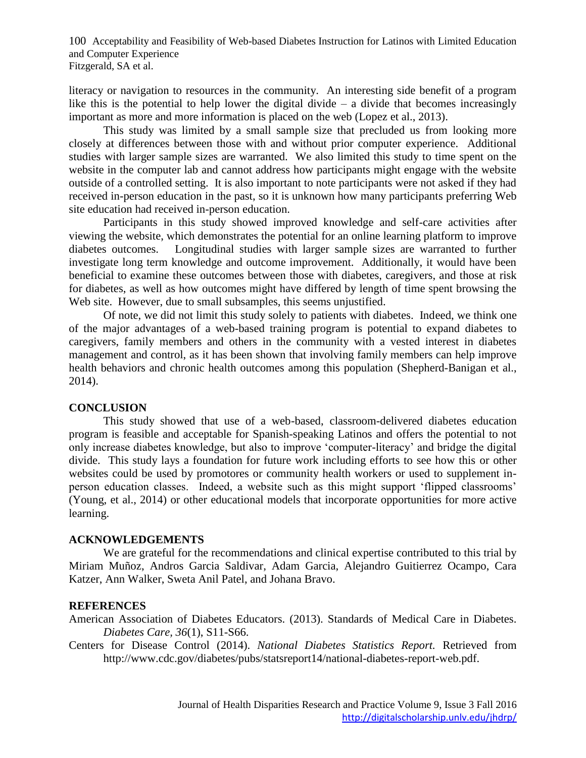literacy or navigation to resources in the community. An interesting side benefit of a program like this is the potential to help lower the digital divide  $-$  a divide that becomes increasingly important as more and more information is placed on the web (Lopez et al., 2013).

This study was limited by a small sample size that precluded us from looking more closely at differences between those with and without prior computer experience. Additional studies with larger sample sizes are warranted. We also limited this study to time spent on the website in the computer lab and cannot address how participants might engage with the website outside of a controlled setting. It is also important to note participants were not asked if they had received in-person education in the past, so it is unknown how many participants preferring Web site education had received in-person education.

Participants in this study showed improved knowledge and self-care activities after viewing the website, which demonstrates the potential for an online learning platform to improve diabetes outcomes. Longitudinal studies with larger sample sizes are warranted to further investigate long term knowledge and outcome improvement. Additionally, it would have been beneficial to examine these outcomes between those with diabetes, caregivers, and those at risk for diabetes, as well as how outcomes might have differed by length of time spent browsing the Web site. However, due to small subsamples, this seems unjustified.

Of note, we did not limit this study solely to patients with diabetes. Indeed, we think one of the major advantages of a web-based training program is potential to expand diabetes to caregivers, family members and others in the community with a vested interest in diabetes management and control, as it has been shown that involving family members can help improve health behaviors and chronic health outcomes among this population (Shepherd-Banigan et al., 2014).

## **CONCLUSION**

This study showed that use of a web-based, classroom-delivered diabetes education program is feasible and acceptable for Spanish-speaking Latinos and offers the potential to not only increase diabetes knowledge, but also to improve 'computer-literacy' and bridge the digital divide. This study lays a foundation for future work including efforts to see how this or other websites could be used by promotores or community health workers or used to supplement inperson education classes. Indeed, a website such as this might support 'flipped classrooms' (Young, et al., 2014) or other educational models that incorporate opportunities for more active learning.

## **ACKNOWLEDGEMENTS**

We are grateful for the recommendations and clinical expertise contributed to this trial by Miriam Muñoz, Andros Garcia Saldivar, Adam Garcia, Alejandro Guitierrez Ocampo, Cara Katzer, Ann Walker, Sweta Anil Patel, and Johana Bravo.

## **REFERENCES**

American Association of Diabetes Educators. (2013). Standards of Medical Care in Diabetes. *Diabetes Care, 36*(1), S11-S66.

Centers for Disease Control (2014). *National Diabetes Statistics Report.* Retrieved from http://www.cdc.gov/diabetes/pubs/statsreport14/national-diabetes-report-web.pdf.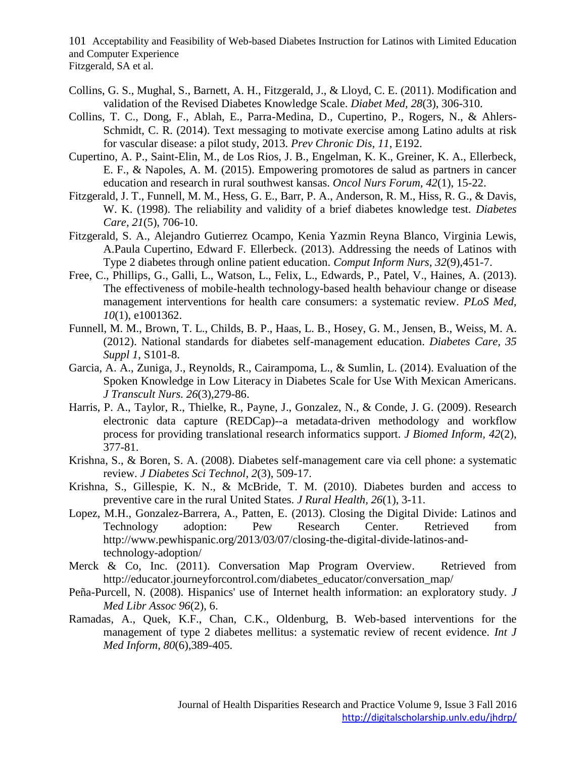- Collins, G. S., Mughal, S., Barnett, A. H., Fitzgerald, J., & Lloyd, C. E. (2011). Modification and validation of the Revised Diabetes Knowledge Scale. *Diabet Med, 28*(3), 306-310.
- Collins, T. C., Dong, F., Ablah, E., Parra-Medina, D., Cupertino, P., Rogers, N., & Ahlers-Schmidt, C. R. (2014). Text messaging to motivate exercise among Latino adults at risk for vascular disease: a pilot study, 2013. *Prev Chronic Dis, 11*, E192.
- Cupertino, A. P., Saint-Elin, M., de Los Rios, J. B., Engelman, K. K., Greiner, K. A., Ellerbeck, E. F., & Napoles, A. M. (2015). Empowering promotores de salud as partners in cancer education and research in rural southwest kansas. *Oncol Nurs Forum, 42*(1), 15-22.
- Fitzgerald, J. T., Funnell, M. M., Hess, G. E., Barr, P. A., Anderson, R. M., Hiss, R. G., & Davis, W. K. (1998). The reliability and validity of a brief diabetes knowledge test. *Diabetes Care, 21*(5), 706-10.
- Fitzgerald, S. A., Alejandro Gutierrez Ocampo, Kenia Yazmin Reyna Blanco, Virginia Lewis, A.Paula Cupertino, Edward F. Ellerbeck. (2013). Addressing the needs of Latinos with Type 2 diabetes through online patient education. *Comput Inform Nurs, 32*(9),451-7.
- Free, C., Phillips, G., Galli, L., Watson, L., Felix, L., Edwards, P., Patel, V., Haines, A. (2013). The effectiveness of mobile-health technology-based health behaviour change or disease management interventions for health care consumers: a systematic review. *PLoS Med, 10*(1), e1001362.
- Funnell, M. M., Brown, T. L., Childs, B. P., Haas, L. B., Hosey, G. M., Jensen, B., Weiss, M. A. (2012). National standards for diabetes self-management education. *Diabetes Care, 35 Suppl 1*, S101-8.
- Garcia, A. A., Zuniga, J., Reynolds, R., Cairampoma, L., & Sumlin, L. (2014). Evaluation of the Spoken Knowledge in Low Literacy in Diabetes Scale for Use With Mexican Americans. *J Transcult Nurs. 26*(3),279-86.
- Harris, P. A., Taylor, R., Thielke, R., Payne, J., Gonzalez, N., & Conde, J. G. (2009). Research electronic data capture (REDCap)--a metadata-driven methodology and workflow process for providing translational research informatics support. *J Biomed Inform, 42*(2), 377-81.
- Krishna, S., & Boren, S. A. (2008). Diabetes self-management care via cell phone: a systematic review. *J Diabetes Sci Technol, 2*(3), 509-17.
- Krishna, S., Gillespie, K. N., & McBride, T. M. (2010). Diabetes burden and access to preventive care in the rural United States. *J Rural Health, 26*(1), 3-11.
- Lopez, M.H., Gonzalez-Barrera, A., Patten, E. (2013). Closing the Digital Divide: Latinos and Technology adoption: Pew Research Center. Retrieved from http://www.pewhispanic.org/2013/03/07/closing-the-digital-divide-latinos-andtechnology-adoption/
- Merck & Co, Inc. (2011). Conversation Map Program Overview. Retrieved from http://educator.journeyforcontrol.com/diabetes\_educator/conversation\_map/
- Peña-Purcell, N. (2008). Hispanics' use of Internet health information: an exploratory study. *J Med Libr Assoc 96*(2), 6.
- Ramadas, A., Quek, K.F., Chan, C.K., Oldenburg, B. Web-based interventions for the management of type 2 diabetes mellitus: a systematic review of recent evidence. *Int J Med Inform, 80*(6),389-405.